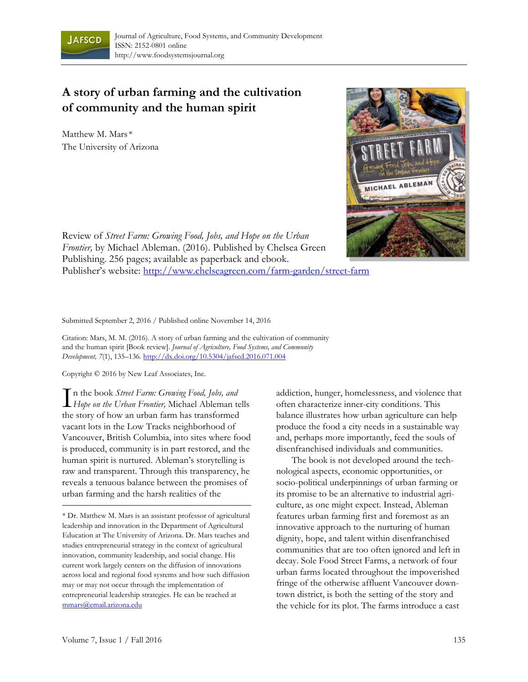

## **A story of urban farming and the cultivation of community and the human spirit**

Matthew M. Mars \* The University of Arizona



Review of *Street Farm: Growing Food, Jobs, and Hope on the Urban Frontier,* by Michael Ableman. (2016). Published by Chelsea Green Publishing. 256 pages; available as paperback and ebook. Publisher's website: http://www.chelseagreen.com/farm-garden/street-farm

Submitted September 2, 2016 / Published online November 14, 2016

Citation: Mars, M. M. (2016). A story of urban farming and the cultivation of community and the human spirit [Book review]. *Journal of Agriculture, Food Systems, and Community Development, 7*(1), 135–136*.* http://dx.doi.org/10.5304/jafscd.2016.071.004

Copyright © 2016 by New Leaf Associates, Inc.

n the book *Street Farm: Growing Food, Jobs, and*  **T** in the book *Street Farm: Growing Food, Jobs, and*<br>*Hope on the Urban Frontier, Michael Ableman tells* the story of how an urban farm has transformed vacant lots in the Low Tracks neighborhood of Vancouver, British Columbia, into sites where food is produced, community is in part restored, and the human spirit is nurtured. Ableman's storytelling is raw and transparent. Through this transparency, he reveals a tenuous balance between the promises of urban farming and the harsh realities of the

addiction, hunger, homelessness, and violence that often characterize inner-city conditions. This balance illustrates how urban agriculture can help produce the food a city needs in a sustainable way and, perhaps more importantly, feed the souls of disenfranchised individuals and communities.

 The book is not developed around the technological aspects, economic opportunities, or socio-political underpinnings of urban farming or its promise to be an alternative to industrial agriculture, as one might expect. Instead, Ableman features urban farming first and foremost as an innovative approach to the nurturing of human dignity, hope, and talent within disenfranchised communities that are too often ignored and left in decay. Sole Food Street Farms, a network of four urban farms located throughout the impoverished fringe of the otherwise affluent Vancouver downtown district, is both the setting of the story and the vehicle for its plot. The farms introduce a cast

<sup>\*</sup> Dr. Matthew M. Mars is an assistant professor of agricultural leadership and innovation in the Department of Agricultural Education at The University of Arizona. Dr. Mars teaches and studies entrepreneurial strategy in the context of agricultural innovation, community leadership, and social change. His current work largely centers on the diffusion of innovations across local and regional food systems and how such diffusion may or may not occur through the implementation of entrepreneurial leadership strategies. He can be reached at mmars@email.arizona.edu